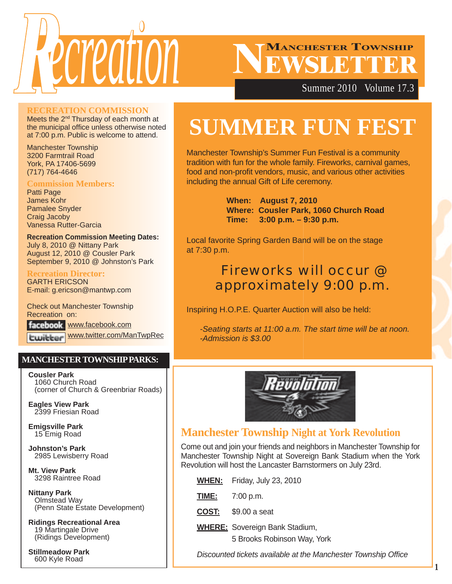

# **MANCHESTER TOWNSHIP**

Summer 2010 Volume 17.3

#### **RECREATION COMMISSION**

Meets the 2<sup>nd</sup> Thursday of each month at the municipal office unless otherwise noted at 7:00 p.m. Public is welcome to attend.

Manchester Township 3200 Farmtrail Road York, PA 17406-5699 (717) 764-4646

#### **Commission Members:**

Patti Page James Kohr Pamalee Snyder Craig Jacoby Vanessa Rutter-Garcia

**Recreation Commission Meeting Dates:** July 8, 2010 @ Nittany Park August 12, 2010 @ Cousler Park September 9, 2010 @ Johnston's Park

#### **Recreation Director:**

GARTH ERICSON E-mail: g.ericson@mantwp.com

Check out Manchester Township Recreation on:

facebook www.facebook.com www.twitter.com/ManTwpRec

#### **MANCHESTER TOWNSHIP PARKS:**

**Cousler Park** 1060 Church Road (corner of Church & Greenbriar Roads)

**Eagles View Park** 2399 Friesian Road

**Emigsville Park** 15 Emig Road

**Johnston's Park** 2985 Lewisberry Road

**Mt. View Park** 3298 Raintree Road

**Nittany Park** Olmstead Way (Penn State Estate Development)

**Ridings Recreational Area** 19 Martingale Drive (Ridings Development)

**Stillmeadow Park** 600 Kyle Road

# **SUMMER FUN FEST**

Manchester Township's Summer Fun Festival is a community tradition with fun for the whole family. Fireworks, carnival games, food and non-profit vendors, music, and various other activities including the annual Gift of Life ceremony.

> **When: August 7, 2010 Where: Cousler Park, 1060 Church Road Time: 3:00 p.m. – 9:30 p.m.**

Local favorite Spring Garden Band will be on the stage at 7:30 p.m.

# Fireworks will occur @ approximately 9:00 p.m.

Inspiring H.O.P.E. Quarter Auction will also be held:

*-Seating starts at 11:00 a.m. The start time will be at noon. -Admission is \$3.00*



## **Manchester Township Night at York Revolution**

Come out and join your friends and neighbors in Manchester Township for Manchester Township Night at Sovereign Bank Stadium when the York Revolution will host the Lancaster Barnstormers on July 23rd.

| <b>WHEN:</b> | Friday, July 23, 2010                                                |
|--------------|----------------------------------------------------------------------|
| <u>TIME:</u> | 7:00 p.m.                                                            |
| COST:        | \$9.00 a seat                                                        |
|              | <b>WHERE:</b> Sovereign Bank Stadium,<br>5 Brooks Robinson Way, York |

*Discounted tickets available at the Manchester Township Office*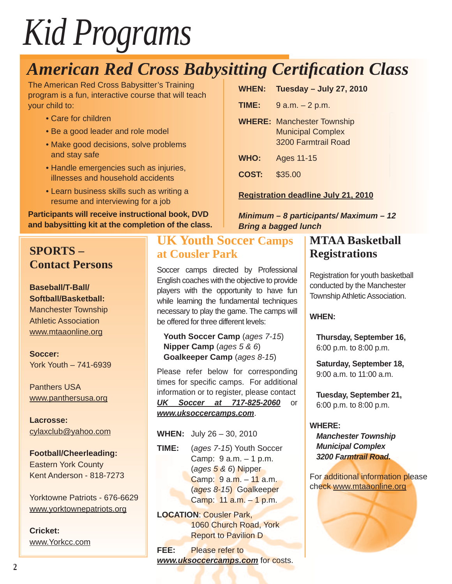# *Kid Programs*

# **American Red Cross Babysitting Certification Class**

The American Red Cross Babysitter's Training program is a fun, interactive course that will teach your child to:

- Care for children
- Be a good leader and role model
- Make good decisions, solve problems and stay safe
- Handle emergencies such as injuries, illnesses and household accidents
- Learn business skills such as writing a resume and interviewing for a job

**Participants will receive instructional book, DVD and babysitting kit at the completion of the class.**

# **SPORTS – Contact Persons**

**Baseball/T-Ball/ Softball/Basketball:** Manchester Township Athletic Association www.mtaaonline.org

**Soccer:** York Youth – 741-6939

Panthers USA www.panthersusa.org

**Lacrosse:** cylaxclub@yahoo.com

**Football/Cheerleading:** Eastern York County Kent Anderson - 818-7273

Yorktowne Patriots - 676-6629 www.yorktownepatriots.org

**Cricket:** www.Yorkcc.com

# **UK Youth Soccer Camps at Cousler Park**

Soccer camps directed by Professional English coaches with the objective to provide players with the opportunity to have fun while learning the fundamental techniques necessary to play the game. The camps will be offered for three different levels:

**Youth Soccer Camp** (*ages 7-15*) **Nipper Camp** (*ages 5 & 6*) **Goalkeeper Camp** (*ages 8-15*)

Please refer below for corresponding times for specific camps. For additional information or to register, please contact *UK Soccer at 717-825-2060* or *www.uksoccercamps.com*.

**WHEN:** July 26 – 30, 2010

**TIME:** (*ages 7-15*) Youth Soccer Camp: 9 a.m. – 1 p.m. (*ages 5 & 6*) Nipper Camp: 9 a.m. – 11 a.m. (*ages 8-15*) Goalkeeper Camp:  $11$  a.m.  $-1$  p.m.

**LOCATION**: Cousler Park, 1060 Church Road, York Report to Pavilion D

**FEE:** Please refer to *www.uksoccercamps.com* for costs.

| WHEN: Tuesday - July 27, 2010 |  |  |
|-------------------------------|--|--|
|-------------------------------|--|--|

**TIME:** 9 a.m. – 2 p.m.

- **WHERE:** Manchester Township<br>Municipal Complex<br>3200 Farmtrail Road Municipal Complex 3200 Farmtrail Road
- **WHO:** Ages 11-15
- **COST:** \$35.00

#### **Registration deadline July 21, 2010**

*Minimum – 8 participants/ Maximum – 12 Bring a bagged lunch*

# **MTAA Basketball Registrations**

Registration for youth basketball conducted by the Manchester Township Athletic Association.

#### **WHEN:**

**Thursday, September 16,** 6:00 p.m. to 8:00 p.m.

**Saturday, September 18,** 9:00 a.m. to 11:00 a.m.

**Tuesday, September 21,** 6:00 p.m. to 8:00 p.m.

#### **WHERE:**

*Manchester Township Municipal Complex 3200 Farmtrail Road.*

For additional information please check www.mtaaonline.org

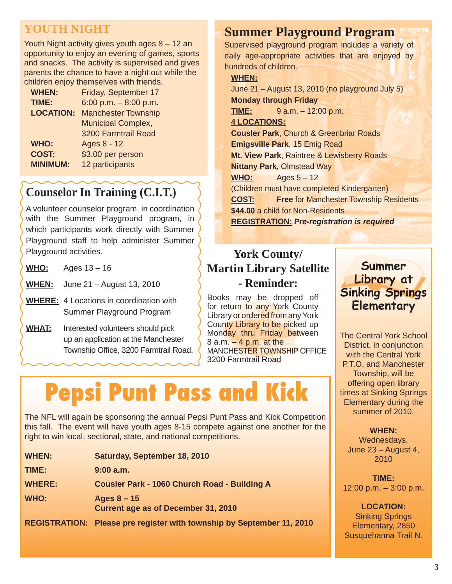# **YOUTH NIGHT**

Youth Night activity gives youth ages 8 – 12 an opportunity to enjoy an evening of games, sports and snacks. The activity is supervised and gives parents the chance to have a night out while the children enjoy themselves with friends.

| <b>WHEN:</b>     | Friday, September 17       |
|------------------|----------------------------|
| TIME:            | 6:00 p.m. $-8:00$ p.m.     |
| <b>LOCATION:</b> | <b>Manchester Township</b> |
|                  | <b>Municipal Complex,</b>  |
|                  | 3200 Farmtrail Road        |
| <b>WHO:</b>      | Ages 8 - 12                |
| <b>COST:</b>     | \$3.00 per person          |
| <b>MINIMUM:</b>  | 12 participants            |
|                  |                            |

# **Counselor In Training (C.I.T.)**

A volunteer counselor program, in coordination with the Summer Playground program, in which participants work directly with Summer Playground staff to help administer Summer Playground activities.

**WHO:** Ages 13 – 16

**WHEN:** June 21 – August 13, 2010

- **WHERE:** 4 Locations in coordination with Summer Playground Program
- **WHAT:** Interested volunteers should pick up an application at the Manchester Township Office, 3200 Farmtrail Road.

# **Summer Playground Program**

Supervised playground program includes a variety of daily age-appropriate activities that are enjoyed by hundreds of children.

#### **WHEN:**

June 21 – August 13, 2010 (no playground July 5) **Monday through Friday TIME:** 9 a.m. – 12:00 p.m. **4 LOCATIONS: Cousler Park**, Church & Greenbriar Roads **Emigsville Park**, 15 Emig Road **Mt. View Park**, Raintree & Lewisberry Roads **Nittany Park**, Olmstead Way **WHO:** Ages 5 – 12 (Children must have completed Kindergarten) **COST: Free** for Manchester Township Residents **\$44.00** a child for Non-Residents **REGISTRATION:** *Pre-registration is required*

# **York County/ Martin Library Satellite - Reminder:**

Books may be dropped off for return to any York County Library or ordered from any York County Library to be picked up Monday thru Friday between 8 a.m. – 4 p.m. at the MANCHESTER TOWNSHIP OFFICE 3200 Farmtrail Road

# **Pepsi Punt Pass and Kick**

The NFL will again be sponsoring the annual Pepsi Punt Pass and Kick Competition this fall. The event will have youth ages 8-15 compete against one another for the right to win local, sectional, state, and national competitions.

| <b>WHEN:</b>  | Saturday, September 18, 2010                                          |
|---------------|-----------------------------------------------------------------------|
| TIME:         | $9:00$ a.m.                                                           |
| <b>WHERE:</b> | <b>Cousler Park - 1060 Church Road - Building A</b>                   |
| WHO:          | Ages $8 - 15$<br>Current age as of December 31, 2010                  |
|               | REGISTRATION: Please pre register with township by September 11, 2010 |

## **Summer Library at Library Sinking Springs Sinking Elementary**

The Central York School District, in conjunction with the Central York P.T.O. and Manchester Township, will be offering open library times at Sinking Springs Elementary during the summer of 2010.

#### **WHEN:**

Wednesdays, June 23 – August 4, 2010

**TIME:** 12:00 p.m. – 3:00 p.m.

**LOCATION:** Sinking Springs Elementary, 2850 Susquehanna Trail N.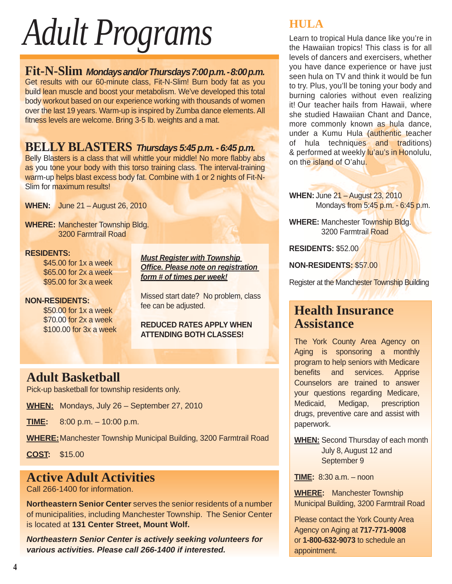# *Adult Programs*

## **Fit-N-Slim** *Mondays and/or Thursdays 7:00 p.m. - 8:00 p.m.*

Get results with our 60-minute class, Fit-N-Slim! Burn body fat as you build lean muscle and boost your metabolism. We've developed this total body workout based on our experience working with thousands of women over the last 19 years. Warm-up is inspired by Zumba dance elements. All fitness levels are welcome. Bring 3-5 lb. weights and a mat.

# **BELLY BLASTERS** *Thursdays 5:45 p.m. - 6:45 p.m.*

Belly Blasters is a class that will whittle your middle! No more flabby abs as you tone your body with this torso training class. The interval-training warm-up helps blast excess body fat. Combine with 1 or 2 nights of Fit-N-Slim for maximum results!

**WHEN:** June 21 – August 26, 2010

**WHERE:** Manchester Township Bldg. 3200 Farmtrail Road

#### **RESIDENTS:**

 \$45.00 for 1x a week \$65.00 for 2x a week \$95.00 for 3x a week

# **NON-RESIDENTS:**

 \$50.00 for 1x a week \$70.00 for 2x a week \$100.00 for 3x a week *Must Register with Township Offi ce. Please note on registration form # of times per week!*

Missed start date? No problem, class fee can be adjusted.

#### **REDUCED RATES APPLY WHEN ATTENDING BOTH CLASSES!**

# **Adult Basketball**

Pick-up basketball for township residents only.

**WHEN:** Mondays, July 26 – September 27, 2010

**TIME:** 8:00 p.m. – 10:00 p.m.

**WHERE:** Manchester Township Municipal Building, 3200 Farmtrail Road

**COST:** \$15.00

# **Active Adult Activities**

Call 266-1400 for information.

**Northeastern Senior Center** serves the senior residents of a number of municipalities, including Manchester Township. The Senior Center is located at **131 Center Street, Mount Wolf.**

*Northeastern Senior Center is actively seeking volunteers for various activities. Please call 266-1400 if interested.*

# **HULA**

Learn to tropical Hula dance like you're in the Hawaiian tropics! This class is for all levels of dancers and exercisers, whether you have dance experience or have just seen hula on TV and think it would be fun to try. Plus, you'll be toning your body and burning calories without even realizing it! Our teacher hails from Hawaii, where she studied Hawaiian Chant and Dance, more commonly known as hula dance, under a Kumu Hula (authentic teacher of hula techniques and traditions) & performed at weekly lu'au's in Honolulu, on the island of O'ahu.

**WHEN:** June 21 – August 23, 2010 Mondays from 5:45 p.m. - 6:45 p.m.

**WHERE:** Manchester Township Bldg. 3200 Farmtrail Road

**RESIDENTS:** \$52.00

**NON-RESIDENTS:** \$57.00

Register at the Manchester Township Building

# **Health Insurance Assistance**

The York County Area Agency on Aging is sponsoring a monthly program to help seniors with Medicare benefits and services. Apprise Counselors are trained to answer your questions regarding Medicare, Medicaid, Medigap, prescription drugs, preventive care and assist with paperwork.

**WHEN:** Second Thursday of each month July 8, August 12 and September 9

**TIME:** 8:30 a.m. – noon

**WHERE:** Manchester Township Municipal Building, 3200 Farmtrail Road

Please contact the York County Area Agency on Aging at **717-771-9008** or **1-800-632-9073** to schedule an appointment.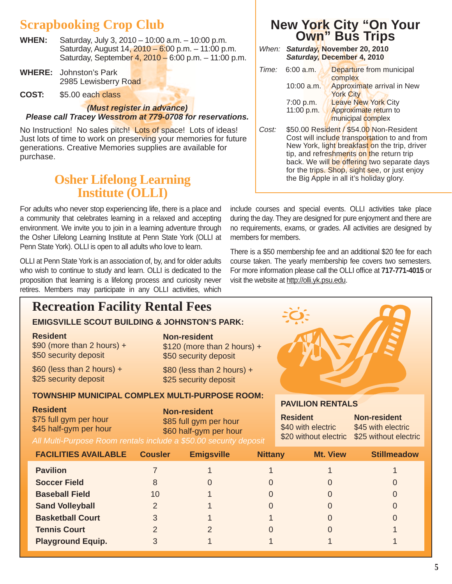# **Scrapbooking Crop Club**

- **WHEN:** Saturday, July 3, 2010 10:00 a.m. 10:00 p.m. Saturday, August 14, 2010 – 6:00 p.m. – 11:00 p.m. Saturday, September 4, 2010 – 6:00 p.m. – 11:00 p.m.
- **WHERE:** Johnston's Park 2985 Lewisberry Road
- **COST:** \$5.00 each class

#### *(Must register in advance) Please call Tracey Wesstrom at 779-0708 for reservations.*

No Instruction! No sales pitch! Lots of space! Lots of ideas! Just lots of time to work on preserving your memories for future generations. Creative Memories supplies are available for purchase.

# **Osher Lifelong Learning Institute (OLLI)**

For adults who never stop experiencing life, there is a place and a community that celebrates learning in a relaxed and accepting environment. We invite you to join in a learning adventure through the Osher Lifelong Learning Institute at Penn State York (OLLI at Penn State York). OLLI is open to all adults who love to learn.

OLLI at Penn State York is an association of, by, and for older adults who wish to continue to study and learn. OLLI is dedicated to the proposition that learning is a lifelong process and curiosity never retires. Members may participate in any OLLI activities, which

# **Recreation Facility Rental Fees**

#### **EMIGSVILLE SCOUT BUILDING & JOHNSTON'S PARK:**

#### **Resident**

\$90 (more than 2 hours) + \$50 security deposit

 $$60$  (less than 2 hours) + \$25 security deposit

#### **Non-resident**

\$120 (more than 2 hours) + \$50 security deposit

\$80 (less than 2 hours) + \$25 security deposit

#### **TOWNSHIP MUNICIPAL COMPLEX MULTI-PURPOSE ROOM:**

| <b>Resident</b>                                                   | <b>Non-resident</b>    |
|-------------------------------------------------------------------|------------------------|
| \$75 full gym per hour                                            | \$85 full gym per hour |
| \$45 half-gym per hour                                            | \$60 half-gym per hour |
| All Multi-Purpose Room rentals include a \$50.00 security deposit |                        |

# **New York City "On Your Own" Bus Trips**

|  | When: Saturday, November 20, 2010 |  |
|--|-----------------------------------|--|
|  | Saturday, December 4, 2010        |  |

|       | <i>Time:</i> 6:00 a.m.  | Departure from municipal<br>complex                                                                                                                                    |
|-------|-------------------------|------------------------------------------------------------------------------------------------------------------------------------------------------------------------|
|       | $10:00$ a.m.            | Approximate arrival in New<br><b>York City</b>                                                                                                                         |
|       | 7:00 p.m.<br>11:00 p.m. | <b>Leave New York City</b><br>Approximate return to<br>municipal complex                                                                                               |
| Cost: |                         | \$50.00 Resident / \$54.00 Non-Resident<br>Cost will include transportation to and from<br>$\mathcal{M}$ , it is a set of $\mathcal{M}$ , and the set of $\mathcal{M}$ |

Cost will include transportation to and from New York, light breakfast on the trip, driver tip, and refreshments on the return trip back. We will be offering two separate days for the trips. Shop, sight see, or just enjoy the Big Apple in all it's holiday glory.

include courses and special events. OLLI activities take place during the day. They are designed for pure enjoyment and there are no requirements, exams, or grades. All activities are designed by members for members.

There is a \$50 membership fee and an additional \$20 fee for each course taken. The yearly membership fee covers two semesters. For more information please call the OLLI office at 717-771-4015 or visit the website at http://olli.yk.psu.edu.



#### **PAVILION RENTALS**

| <b>Resident</b>    | <b>Non-resident</b>                         |
|--------------------|---------------------------------------------|
| \$40 with electric | \$45 with electric                          |
|                    | \$20 without electric \$25 without electric |
|                    |                                             |

| <b>FACILITIES AVAILABLE</b> | <b>Cousler</b> | <b>Emigsville</b> | <b>Nittany</b> | <b>Mt. View</b> | <b>Stillmeadow</b> |
|-----------------------------|----------------|-------------------|----------------|-----------------|--------------------|
| <b>Pavilion</b>             |                |                   |                |                 |                    |
| <b>Soccer Field</b>         |                |                   |                |                 | 0                  |
| <b>Baseball Field</b>       | 10             |                   |                |                 |                    |
| <b>Sand Volleyball</b>      | 2              |                   |                |                 | 0                  |
| <b>Basketball Court</b>     | 3              |                   |                |                 | 0                  |
| <b>Tennis Court</b>         |                |                   |                |                 |                    |
| <b>Playground Equip.</b>    | 3              |                   |                |                 |                    |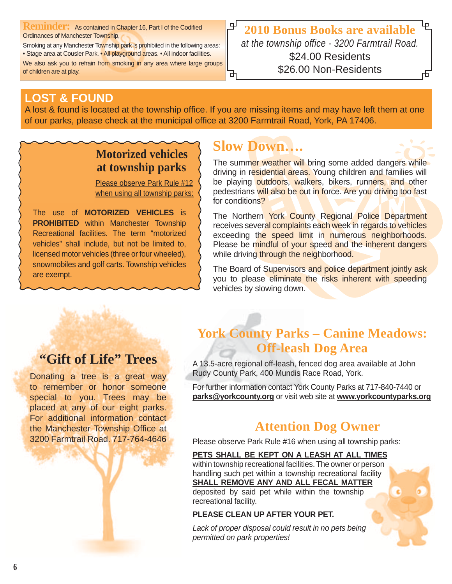**Reminder:** As contained in Chapter 16, Part I of the Codified Ordinances of Manchester Township,

Smoking at any Manchester Township park is prohibited in the following areas: • Stage area at Cousler Park. • All playground areas. • All indoor facilities. We also ask you to refrain from smoking in any area where large groups

of children are at play.

밒 **2010 Bonus Books are available** *at the township office - 3200 Farmtrail Road.* \$24.00 Residents \$26.00 Non-Residents

# **LOST & FOUND**

A lost & found is located at the township office. If you are missing items and may have left them at one of our parks, please check at the municipal office at 3200 Farmtrail Road, York, PA 17406.

# **Motorized vehicles at township parks**

Please observe Park Rule #12 when using all township parks:

The use of **MOTORIZED VEHICLES** is **PROHIBITED** within Manchester Township Recreational facilities. The term "motorized vehicles" shall include, but not be limited to, licensed motor vehicles (three or four wheeled), snowmobiles and golf carts. Township vehicles are exempt.

# **Slow Down….**

The summer weather will bring some added dangers while driving in residential areas. Young children and families will be playing outdoors, walkers, bikers, runners, and other pedestrians will also be out in force. Are you driving too fast for conditions?

The Northern York County Regional Police Department receives several complaints each week in regards to vehicles exceeding the speed limit in numerous neighborhoods. Please be mindful of your speed and the inherent dangers while driving through the neighborhood.

The Board of Supervisors and police department jointly ask you to please eliminate the risks inherent with speeding vehicles by slowing down.

# **"Gift of Life" Trees**

Donating a tree is a great way to remember or honor someone special to you. Trees may be placed at any of our eight parks. For additional information contact the Manchester Township Office at 3200 Farmtrail Road. 717-764-4646

# **York County Parks – Canine Meadows: Off-leash Dog Area**

A 13.5-acre regional off-leash, fenced dog area available at John Rudy County Park, 400 Mundis Race Road, York.

For further information contact York County Parks at 717-840-7440 or **parks@yorkcounty.org** or visit web site at **www.yorkcountyparks.org**

# **Attention Dog Owner**

Please observe Park Rule #16 when using all township parks:

#### **PETS SHALL BE KEPT ON A LEASH AT ALL TIMES**

within township recreational facilities. The owner or person handling such pet within a township recreational facility **SHALL REMOVE ANY AND ALL FECAL MATTER** deposited by said pet while within the township recreational facility.

#### **PLEASE CLEAN UP AFTER YOUR PET.**

*Lack of proper disposal could result in no pets being permitted on park properties!*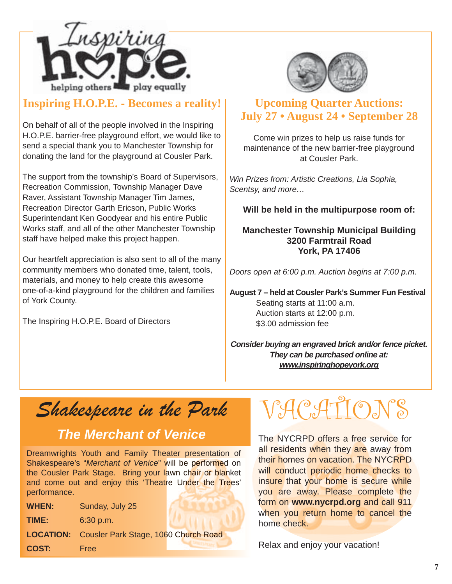

## **Inspiring H.O.P.E. - Becomes a reality!**

On behalf of all of the people involved in the Inspiring H.O.P.E. barrier-free playground effort, we would like to send a special thank you to Manchester Township for donating the land for the playground at Cousler Park.

The support from the township's Board of Supervisors, Recreation Commission, Township Manager Dave Raver, Assistant Township Manager Tim James, Recreation Director Garth Ericson, Public Works Superintendant Ken Goodyear and his entire Public Works staff, and all of the other Manchester Township staff have helped make this project happen.

Our heartfelt appreciation is also sent to all of the many community members who donated time, talent, tools, materials, and money to help create this awesome one-of-a-kind playground for the children and families of York County.

The Inspiring H.O.P.E. Board of Directors



## **Upcoming Quarter Auctions: July 27 • August 24 • September 28**

Come win prizes to help us raise funds for maintenance of the new barrier-free playground at Cousler Park.

*Win Prizes from: Artistic Creations, Lia Sophia, Scentsy, and more…*

**Will be held in the multipurpose room of:**

**Manchester Township Municipal Building 3200 Farmtrail Road York, PA 17406**

*Doors open at 6:00 p.m. Auction begins at 7:00 p.m.*

**August 7 – held at Cousler Park's Summer Fun Festival** Seating starts at 11:00 a.m. Auction starts at 12:00 p.m. \$3.00 admission fee

*Consider buying an engraved brick and/or fence picket. They can be purchased online at: www.inspiringhopeyork.org*

Shakespeare in the Park

# *The Merchant of Venice*

Dreamwrights Youth and Family Theater presentation of Shakespeare's "Merchant of Venice" will be performed on the Cousler Park Stage. Bring your lawn chair or blanket and come out and enjoy this 'Theatre Under the Trees' performance.

| <b>WHEN:</b> | Sunday, July 25                                       |
|--------------|-------------------------------------------------------|
| TIME:        | 6:30 p.m.                                             |
|              | <b>LOCATION:</b> Cousler Park Stage, 1060 Church Road |
| <b>COST:</b> | <b>Free</b>                                           |

HC. ATION

The NYCRPD offers a free service for all residents when they are away from their homes on vacation. The NYCRPD will conduct periodic home checks to insure that your home is secure while you are away. Please complete the form on **www.nycrpd.org** and call 911 when you return home to cancel the home check.

Relax and enjoy your vacation!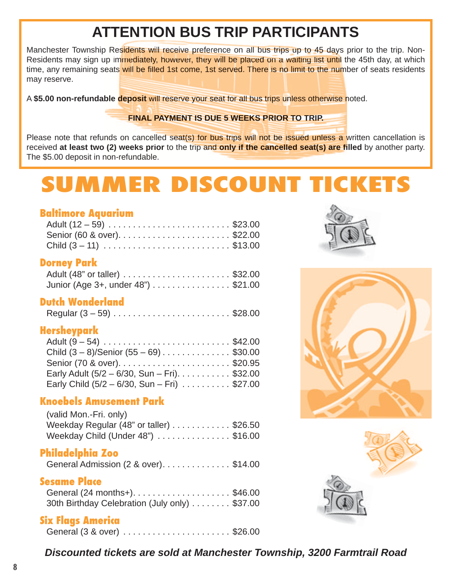# **ATTENTION BUS TRIP PARTICIPANTS TTENTION PARTICIPANT**

Manchester Township Residents will receive preference on all bus trips up to 45 days prior to the trip. Non-Residents may sign up immediately, however, they will be placed on a waiting list until the 45th day, at which time, any remaining seats will be filled 1st come, 1st served. There is no limit to the number of seats residents may reserve.

A \$5.00 non-refundable deposit will reserve your seat for all bus trips unless otherwise noted.

#### **FINAL PAYMENT IS DUE 5 WEEKS PRIOR TO TRIP. FINAL PAYMENT TO**

Please note that refunds on cancelled seat(s) for bus trips will not be issued unless a written cancellation is received at least two (2) weeks prior to the trip and only if the cancelled seat(s) are filled by another party. The \$5.00 deposit in non-refundable.

# **SUMMER DISCOUNT TICKETS**

#### **Baltimore Aquarium**

#### **Dorney Park**

| Junior (Age 3+, under 48") \$21.00 |  |
|------------------------------------|--|

#### **Dutch Wonderland**

|  | Regular $(3 - 59)$ \$28.00 |  |
|--|----------------------------|--|
|--|----------------------------|--|

#### **Hersheypark**

| Adult $(9 - 54)$ \$42.00                                            |  |
|---------------------------------------------------------------------|--|
| Child $(3-8)/$ Senior $(55-69)$ \$30.00                             |  |
|                                                                     |  |
| Early Adult (5/2 – 6/30, Sun – Fri). $\ldots \ldots \ldots$ \$32.00 |  |
| Early Child $(5/2 - 6/30, Sun - Fri)$ \$27.00                       |  |

#### **Knoebels Amusement Park**

| (valid Mon.-Fri. only)                  |  |
|-----------------------------------------|--|
| Weekday Regular (48" or taller) \$26.50 |  |
| Weekday Child (Under 48") \$16.00       |  |

#### **Philadelphia Zoo**

| General Admission (2 & over)\$14.00 |  |  |  |  |  |  |  |  |
|-------------------------------------|--|--|--|--|--|--|--|--|
|-------------------------------------|--|--|--|--|--|--|--|--|

### **Sesame Place**

| General (24 months+). \$46.00                 |  |
|-----------------------------------------------|--|
| 30th Birthday Celebration (July only) \$37.00 |  |

# **Six Flags America**

|--|--|--|







*Discounted tickets are sold at Manchester Township, 3200 Farmtrail Road*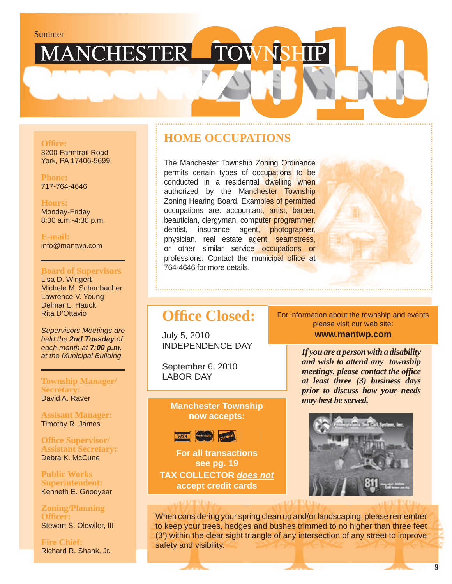# Summer<br>MANCHESTER TOWNSHIP

#### **Offi ce:**

3200 Farmtrail Road York, PA 17406-5699

**Phone:** 717-764-4646

#### **Hours:**

Monday-Friday 8:00 a.m.-4:30 p.m.

**E-mail:** info@mantwp.com

#### **Board of Supervisors**

Lisa D. Wingert Michele M. Schanbacher Lawrence V. Young Delmar L. Hauck Rita D'Ottavio

*Supervisors Meetings are held the 2nd Tuesday of each month at 7:00 p.m. at the Municipal Building*

#### **Township Manager/ Secretary:** David A. Raver

**Assisant Manager:** Timothy R. James

**Offi ce Supervisor/ Assistant Secretary:** Debra K. McCune

**Public Works Superintendent:** Kenneth E. Goodyear

**Zoning/Planning Offi cer:** Stewart S. Olewiler, III

**Fire Chief:** Richard R. Shank, Jr.

## **HOME OCCUPATIONS**

The Manchester Township Zoning Ordinance permits certain types of occupations to be conducted in a residential dwelling when authorized by the Manchester Township Zoning Hearing Board. Examples of permitted occupations are: accountant, artist, barber, beautician, clergyman, computer programmer, dentist, insurance agent, photographer, physician, real estate agent, seamstress, or other similar service occupations or professions. Contact the municipal office at 764-4646 for more details.



# **Office Closed:**

July 5, 2010 INDEPENDENCE DAY

September 6, 2010 LABOR DAY

#### **Manchester Township now accepts:**



**For all transactions see pg. 19 TAX COLLECTOR** *does not* **accept credit cards**

#### For information about the township and events please visit our web site:

**www.mantwp.com**

*If you are a person with a disability and wish to attend any township meetings, please contact the office at least three (3) business days prior to discuss how your needs may best be served.*



When considering your spring clean up and/or landscaping, please remember to keep your trees, hedges and bushes trimmed to no higher than three feet (3') within the clear sight triangle of any intersection of any street to improve safety and visibility.

**9**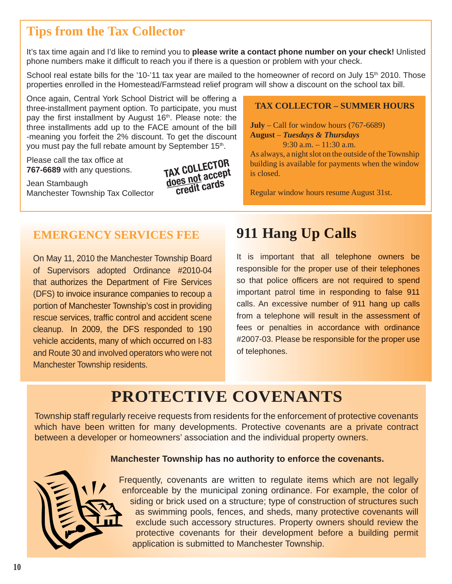# **Tips from the Tax Collector**

It's tax time again and I'd like to remind you to **please write a contact phone number on your check!** Unlisted phone numbers make it difficult to reach you if there is a question or problem with your check.

School real estate bills for the '10-'11 tax year are mailed to the homeowner of record on July 15<sup>th</sup> 2010. Those properties enrolled in the Homestead/Farmstead relief program will show a discount on the school tax bill.

Once again, Central York School District will be offering a three-installment payment option. To participate, you must pay the first installment by August 16<sup>th</sup>. Please note: the three installments add up to the FACE amount of the bill -meaning you forfeit the 2% discount. To get the discount you must pay the full rebate amount by September 15<sup>th</sup>.

Please call the tax office at **767-6689** with any questions.

Jean Stambaugh Manchester Township Tax Collector



#### **TAX COLLECTOR – SUMMER HOURS**

**July** – Call for window hours (767-6689) **August** – *Tuesdays & Thursdays*

9:30 a.m. – 11:30 a.m. As always, a night slot on the outside of the Township building is available for payments when the window is closed.

Regular window hours resume August 31st.

## **EMERGENCY SERVICES FEE**

On May 11, 2010 the Manchester Township Board of Supervisors adopted Ordinance #2010-04 that authorizes the Department of Fire Services (DFS) to invoice insurance companies to recoup a portion of Manchester Township's cost in providing rescue services, traffic control and accident scene cleanup. In 2009, the DFS responded to 190 vehicle accidents, many of which occurred on I-83 and Route 30 and involved operators who were not Manchester Township residents.

# **911 Hang Up Calls g Up**

It is important that all telephone owners be responsible for the proper use of their telephones so that police officers are not required to spend important patrol time in responding to false 911 calls. An excessive number of 911 hang up calls from a telephone will result in the assessment of fees or penalties in accordance with ordinance #2007-03. Please be responsible for the proper use of telephones. e be responsible for the proper **TAX COLLECTOR**

# **PROTECTIVE COVENANTS**

Township staff regularly receive requests from residents for the enforcement of protective covenants which have been written for many developments. Protective covenants are a private contract between a developer or homeowners' association and the individual property owners.

#### **Manchester Township has no authority to enforce the covenants.**



Frequently, covenants are written to regulate items which are not legally enforceable by the municipal zoning ordinance. For example, the color of siding or brick used on a structure; type of construction of structures such as swimming pools, fences, and sheds, many protective covenants will exclude such accessory structures. Property owners should review the protective covenants for their development before a building permit application is submitted to Manchester Township.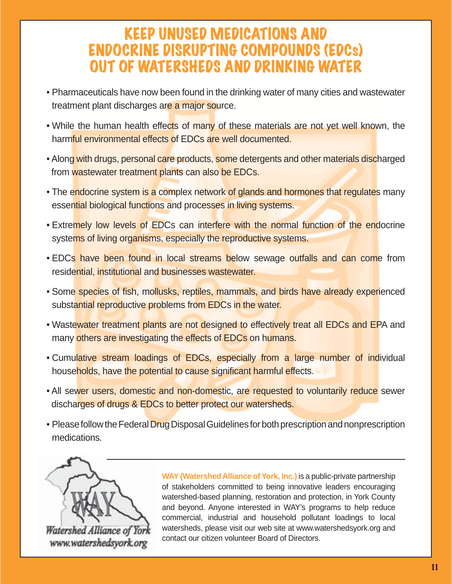# KEEP UNUSED MEDICATIONS AND ENDOCRINE DISRUPTING COMPOUNDS (EDCs) OUT OF WATERSHEDS AND DRINKING WATER

- Pharmaceuticals have now been found in the drinking water of many cities and wastewater treatment plant discharges are a major source.
- While the human health effects of many of these materials are not yet well known, the harmful environmental effects of EDCs are well documented.
- Along with drugs, personal care products, some detergents and other materials discharged from wastewater treatment plants can also be EDCs.
- The endocrine system is a complex network of glands and hormones that regulates many essential biological functions and processes in living systems.
- Extremely low levels of EDCs can interfere with the normal function of the endocrine systems of living organisms, especially the reproductive systems.
- EDCs have been found in local streams below sewage outfalls and can come from residential, institutional and businesses wastewater.
- Some species of fish, mollusks, reptiles, mammals, and birds have already experienced substantial reproductive problems from EDCs in the water.
- Wastewater treatment plants are not designed to effectively treat all EDCs and EPA and many others are investigating the effects of EDCs on humans.
- Cumulative stream loadings of EDCs, especially from a large number of individual households, have the potential to cause significant harmful effects.
- All sewer users, domestic and non-domestic, are requested to voluntarily reduce sewer discharges of drugs & EDCs to better protect our watersheds.
- Please follow the Federal Drug Disposal Guidelines for both prescription and nonprescription medications.



Watershed Alliance of You www.watershedsyork.org **WAY (Watershed Alliance of York, Inc.)** is a public-private partnership of stakeholders committed to being innovative leaders encouraging watershed-based planning, restoration and protection, in York County and beyond. Anyone interested in WAY's programs to help reduce commercial, industrial and household pollutant loadings to local watersheds, please visit our web site at www.watershedsyork.org and contact our citizen volunteer Board of Directors.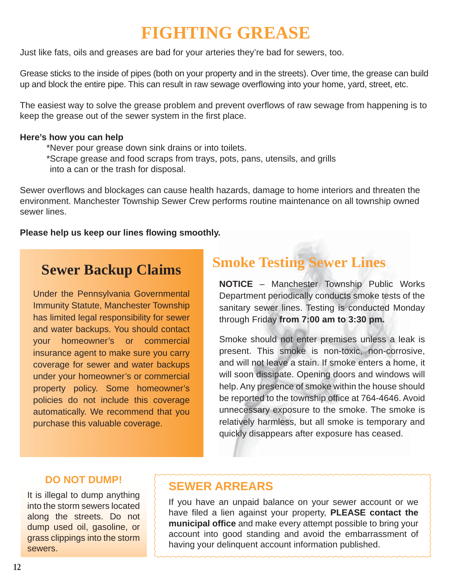# **FIGHTING GREASE**

Just like fats, oils and greases are bad for your arteries they're bad for sewers, too.

Grease sticks to the inside of pipes (both on your property and in the streets). Over time, the grease can build up and block the entire pipe. This can result in raw sewage overflowing into your home, yard, street, etc.

The easiest way to solve the grease problem and prevent overflows of raw sewage from happening is to keep the grease out of the sewer system in the first place.

#### **Here's how you can help**

\*Never pour grease down sink drains or into toilets.

\* Scrape grease and food scraps from trays, pots, pans, utensils, and grills into a can or the trash for disposal.

Sewer overflows and blockages can cause health hazards, damage to home interiors and threaten the environment. Manchester Township Sewer Crew performs routine maintenance on all township owned sewer lines.

#### Please help us keep our lines flowing smoothly.

# **Sewer Backup Claims**

Under the Pennsylvania Governmental Immunity Statute, Manchester Township has limited legal responsibility for sewer and water backups. You should contact your homeowner's or commercial insurance agent to make sure you carry coverage for sewer and water backups under your homeowner's or commercial property policy. Some homeowner's policies do not include this coverage automatically. We recommend that you purchase this valuable coverage.

# **Smoke Testing Sewer Lines**

**NOTICE** – Manchester Township Public Works Department periodically conducts smoke tests of the sanitary sewer lines. Testing is conducted Monday through Friday **from 7:00 am to 3:30 pm.**

Smoke should not enter premises unless a leak is present. This smoke is non-toxic, non-corrosive, and will not leave a stain. If smoke enters a home, it will soon dissipate. Opening doors and windows will help. Any presence of smoke within the house should be reported to the township office at 764-4646. Avoid unnecessary exposure to the smoke. The smoke is relatively harmless, but all smoke is temporary and quickly disappears after exposure has ceased.

#### **DO NOT DUMP!**

It is illegal to dump anything into the storm sewers located along the streets. Do not dump used oil, gasoline, or grass clippings into the storm sewers.

# **SEWER ARREARS**

If you have an unpaid balance on your sewer account or we have filed a lien against your property, **PLEASE contact the municipal office** and make every attempt possible to bring your account into good standing and avoid the embarrassment of having your delinquent account information published.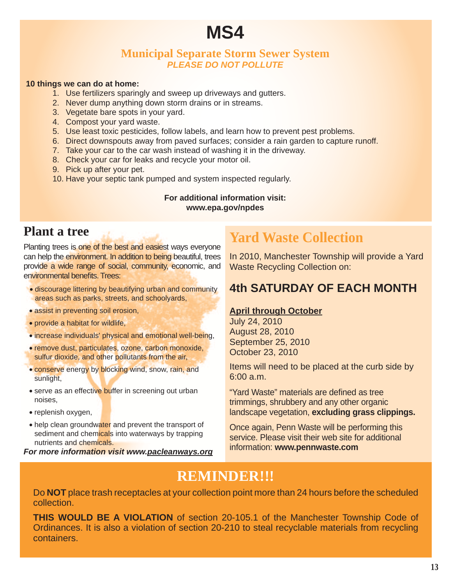# **MS4**

#### **Municipal Separate Storm Sewer System** *PLEASE DO NOT POLLUTE*

#### **10 things we can do at home:**

- 1. Use fertilizers sparingly and sweep up driveways and gutters.
- 2. Never dump anything down storm drains or in streams.
- 3. Vegetate bare spots in your yard.
- 4. Compost your yard waste.
- 5. Use least toxic pesticides, follow labels, and learn how to prevent pest problems.
- 6. Direct downspouts away from paved surfaces; consider a rain garden to capture runoff.
- 7. Take your car to the car wash instead of washing it in the driveway.
- 8. Check your car for leaks and recycle your motor oil.
- 9. Pick up after your pet.
- 10. Have your septic tank pumped and system inspected regularly.

#### **For additional information visit: www.epa.gov/npdes**

## **Plant a tree**

Planting trees is one of the best and easiest ways everyone can help the environment. In addition to being beautiful, trees provide a wide range of social, community, economic, and environmental benefits. Trees:

- discourage littering by beautifying urban and community areas such as parks, streets, and schoolyards,
- assist in preventing soil erosion,
- provide a habitat for wildlife,
- increase individuals' physical and emotional well-being,
- remove dust, particulates, ozone, carbon monoxide, sulfur dioxide, and other pollutants from the air,
- conserve energy by blocking wind, snow, rain, and sunlight,
- serve as an effective buffer in screening out urban noises,
- replenish oxygen,
- help clean groundwater and prevent the transport of sediment and chemicals into waterways by trapping nutrients and chemicals.

*For more information visit www.pacleanways.org*

# **Yard Waste Collection**

In 2010, Manchester Township will provide a Yard Waste Recycling Collection on:

## **4th SATURDAY OF EACH MONTH**

#### **April through October**

July 24, 2010 August 28, 2010 September 25, 2010 October 23, 2010

Items will need to be placed at the curb side by 6:00 a.m.

"Yard Waste" materials are defined as tree trimmings, shrubbery and any other organic landscape vegetation, **excluding grass clippings.**

Once again, Penn Waste will be performing this service. Please visit their web site for additional information: **www.pennwaste.com**

# **REMINDER!!!**

Do **NOT** place trash receptacles at your collection point more than 24 hours before the scheduled collection.

**THIS WOULD BE A VIOLATION** of section 20-105.1 of the Manchester Township Code of Ordinances. It is also a violation of section 20-210 to steal recyclable materials from recycling containers.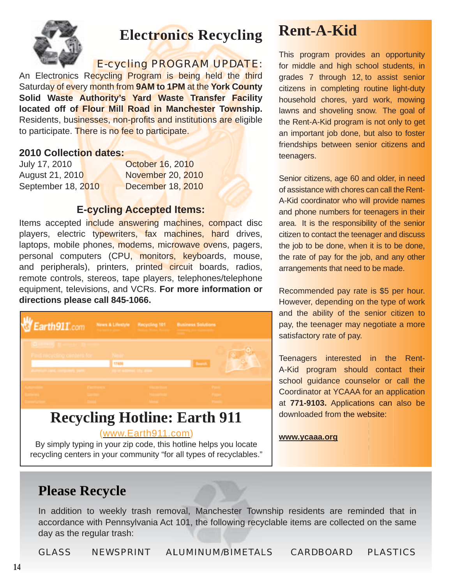

# **Electronics Recycling**

### E-cycling PROGRAM UPDATE:

An Electronics Recycling Program is being held the third Saturday of every month from **9AM to 1PM** at the **York County Solid Waste Authority's Yard Waste Transfer Facility located off of Flour Mill Road in Manchester Township.** Residents, businesses, non-profits and institutions are eligible to participate. There is no fee to participate.

#### **2010 Collection dates:**

| July 17, 2010      | October 16, 2010  |
|--------------------|-------------------|
| August 21, 2010    | November 20, 2010 |
| September 18, 2010 | December 18, 2010 |

#### **E-cycling Accepted Items:**

Items accepted include answering machines, compact disc players, electric typewriters, fax machines, hard drives, laptops, mobile phones, modems, microwave ovens, pagers, personal computers (CPU, monitors, keyboards, mouse, and peripherals), printers, printed circuit boards, radios, remote controls, stereos, tape players, telephones/telephone equipment, televisions, and VCRs. **For more information or directions please call 845-1066.**



By simply typing in your zip code, this hotline helps you locate recycling centers in your community "for all types of recyclables."

# **Rent-A-Kid**

This program provides an opportunity for middle and high school students, in grades 7 through 12, to assist senior citizens in completing routine light-duty household chores, yard work, mowing lawns and shoveling snow. The goal of the Rent-A-Kid program is not only to get an important job done, but also to foster friendships between senior citizens and teenagers.

Senior citizens, age 60 and older, in need of assistance with chores can call the Rent-A-Kid coordinator who will provide names and phone numbers for teenagers in their area. It is the responsibility of the senior citizen to contact the teenager and discuss the job to be done, when it is to be done, the rate of pay for the job, and any other arrangements that need to be made.

Recommended pay rate is \$5 per hour. However, depending on the type of work and the ability of the senior citizen to pay, the teenager may negotiate a more satisfactory rate of pay.

Teenagers interested in the Rent-A-Kid program should contact their school guidance counselor or call the Coordinator at YCAAA for an application at 771-9103. Applications can also be downloaded from the website:

#### **www.ycaaa.org**

**Please Recycle**<br>
In addition to weekly trash<br>
accordance with Pennsylvania<br>
day as the regular trash:<br> **GLASS NEWSPRINT** In addition to weekly trash removal, Manchester Township residents are reminded that in accordance with Pennsylvania Act 101, the following recyclable items are collected on the same day as the regular trash:

GLASS NEWSPRINT ALUMINUM/BIMETALS CARDBOARD PLASTICS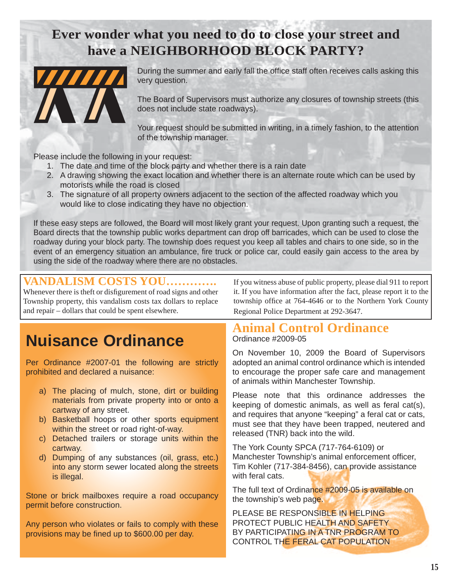# **Ever wonder what you need to do to close your street and have a NEIGHBORHOOD BLOCK PARTY?**



During the summer and early fall the office staff often receives calls asking this very question.

The Board of Supervisors must authorize any closures of township streets (this does not include state roadways).

Your request should be submitted in writing, in a timely fashion, to the attention of the township manager.

Please include the following in your request:

- 1. The date and time of the block party and whether there is a rain date
- 2. A drawing showing the exact location and whether there is an alternate route which can be used by motorists while the road is closed
- 3. The signature of all property owners adjacent to the section of the affected roadway which you would like to close indicating they have no objection.

If these easy steps are followed, the Board will most likely grant your request. Upon granting such a request, the Board directs that the township public works department can drop off barricades, which can be used to close the roadway during your block party. The township does request you keep all tables and chairs to one side, so in the event of an emergency situation an ambulance, fire truck or police car, could easily gain access to the area by using the side of the roadway where there are no obstacles.

### **VANDALISM COSTS YOU………….**

Whenever there is theft or disfigurement of road signs and other Township property, this vandalism costs tax dollars to replace and repair – dollars that could be spent elsewhere.

# **Nuisance Ordinance**

Per Ordinance #2007-01 the following are strictly prohibited and declared a nuisance:

- a) The placing of mulch, stone, dirt or building materials from private property into or onto a cartway of any street.
- b) Basketball hoops or other sports equipment within the street or road right-of-way.
- c) Detached trailers or storage units within the cartway.
- d) Dumping of any substances (oil, grass, etc.) into any storm sewer located along the streets is illegal.

Stone or brick mailboxes require a road occupancy permit before construction.

Any person who violates or fails to comply with these provisions may be fined up to \$600.00 per day.

If you witness abuse of public property, please dial 911 to report it. If you have information after the fact, please report it to the township office at 764-4646 or to the Northern York County Regional Police Department at 292-3647.

#### **Animal Control Ordinance** Ordinance #2009-05

On November 10, 2009 the Board of Supervisors adopted an animal control ordinance which is intended to encourage the proper safe care and management of animals within Manchester Township.

Please note that this ordinance addresses the keeping of domestic animals, as well as feral cat(s), and requires that anyone "keeping" a feral cat or cats, must see that they have been trapped, neutered and released (TNR) back into the wild.

The York County SPCA (717-764-6109) or Manchester Township's animal enforcement officer, Tim Kohler (717-384-8456), can provide assistance with feral cats.

The full text of Ordinance #2009-05 is available on the township's web page.

PLEASE BE RESPONSIBLE IN HELPING PROTECT PUBLIC HEALTH AND SAFETY BY PARTICIPATING IN A TNR PROGRAM TO CONTROL THE FERAL CAT POPULATION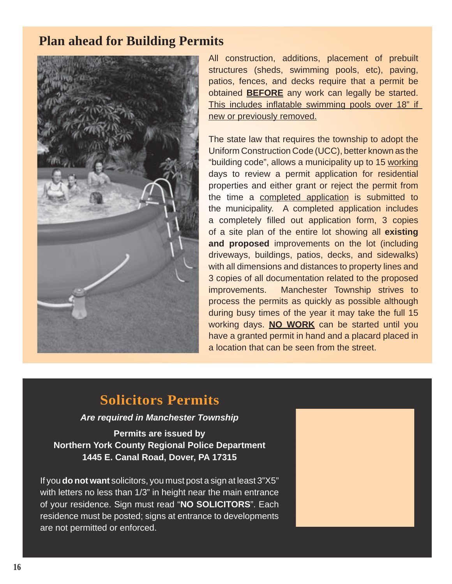# **Plan ahead for Building Permits**



All construction, additions, placement of prebuilt structures (sheds, swimming pools, etc), paving, patios, fences, and decks require that a permit be obtained **BEFORE** any work can legally be started. This includes inflatable swimming pools over 18" if new or previously removed.

The state law that requires the township to adopt the Uniform Construction Code (UCC), better known as the "building code", allows a municipality up to 15 working days to review a permit application for residential properties and either grant or reject the permit from the time a completed application is submitted to the municipality. A completed application includes a completely filled out application form, 3 copies of a site plan of the entire lot showing all **existing and proposed** improvements on the lot (including driveways, buildings, patios, decks, and sidewalks) with all dimensions and distances to property lines and 3 copies of all documentation related to the proposed improvements. Manchester Township strives to process the permits as quickly as possible although during busy times of the year it may take the full 15 working days. **NO WORK** can be started until you have a granted permit in hand and a placard placed in a location that can be seen from the street.

# **Solicitors Permits**

*Are required in Manchester Township*

**Permits are issued by Northern York County Regional Police Department 1445 E. Canal Road, Dover, PA 17315**

If you **do not want** solicitors, you must post a sign at least 3"X5" with letters no less than 1/3" in height near the main entrance of your residence. Sign must read "**NO SOLICITORS**". Each residence must be posted; signs at entrance to developments are not permitted or enforced.

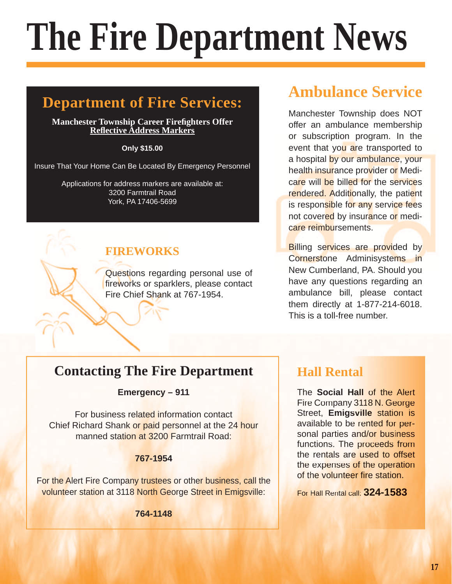# **The Fire Department News**

# **Department of Fire Services:**

#### **Manchester Township Career Firefighters Offer Refl ective Address Markers**

#### **Only \$15.00**

Insure That Your Home Can Be Located By Emergency Personnel

Applications for address markers are available at: 3200 Farmtrail Road York, PA 17406-5699

# **FIREWORKS**

Questions regarding personal use of fireworks or sparklers, please contact Fire Chief Shank at 767-1954.

# **Ambulance Service**

Manchester Township does NOT offer an ambulance membership or subscription program. In the event that you are transported to a hospital by our ambulance, your health insurance provider or Medicare will be billed for the services rendered. Additionally, the patient is responsible for any service fees not covered by insurance or medicare reimbursements.

**Billing services are provided by** Cornerstone Adminisystems in New Cumberland, PA. Should you have any questions regarding an ambulance bill, please contact them directly at 1-877-214-6018. This is a toll-free number.

**Emergency – 911**

**Example 19 Contacting The Fire Department**<br>
For business related information contact<br>
the Social<br>
Fire Compare<br>
Street, Emigravialble to I<br>
sonal parties<br>
the compare station at 3200 Farmtrail Road:<br>
T67-1954<br>
Ne Alert Fi For business related information contact Chief Richard Shank or paid personnel at the 24 hour manned station at 3200 Farmtrail Road:

#### **767-1954**

For the Alert Fire Company trustees or other business, call the volunteer station at 3118 North George Street in Emigsville:

**764-1148**

# **Hall Rental Hall**

The **Social Hall** of the Alert Fire Company 3118 N. George Street, Emigsville station is available to be rented for personal parties and/or business functions. The proceeds from the rentals are used to offset the expenses of the operation of the volunteer fire station.

For Hall Rental call: **324-1583**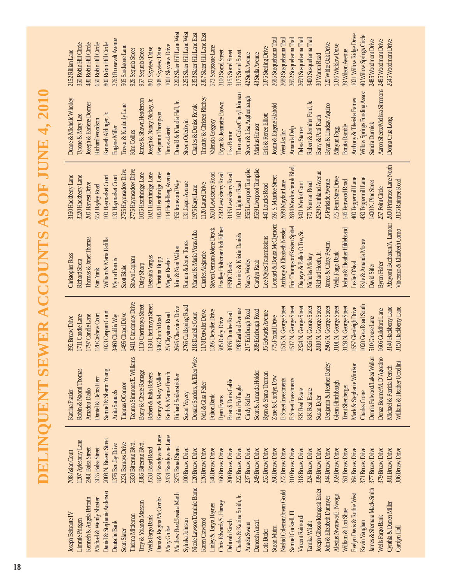**DELINQUENT SEWER ACCOUNTS AS OF JUNE 4, 2010 DELINQUENT SEWER ACCOUNTS AS OF JUNE 4, 2010**

2434 Brandywine Lane 829 Brandywine Lane Dana & Regina McCombs 1829 Brandywine Lane Mary Grube 2434 Brandywine Lane 2008 N. Beaver Street Daniel & Stephanie Anderson 2008 N. Beaver Street 207 Avlesbury Lane Limmie Pridgen 1207 Aylesbury Lane 2231 Bernays Drive 376 Bee Jay Drive 330 Bitternut Blvd. 3385 Bitternut Blvd. Scott Slater 2231 Bernays Drive Thelma Mittleman 3330 Bitternut Blvd. Troy & Yolanda Massam 3385 Bitternut Blvd. Deutsche Bank 1376 Bee Jay Drive 2981 Balsa Street 3135 Balsa Street 8530 Board Road 3275 Broad Street Matthew Reed/Jessica Marth 3275 Broad Street 126 Bruaw Drive 148 Bruaw Drive 166 Bruaw Drive 222 Bruaw Drive 268 Bruaw Drive 339 Bruaw Drive 364 Bruaw Drive **881 Bruaw Drive** Wells Fargo Bank 3530 Board Road 100 Bruaw Drive 120 Bruaw Drive 200 Bruaw Drive 237 Bruaw Drive 249 Bruaw Drive 253 Bruaw Drive 272 Bruaw Drive **310 Bruaw Drive** 318 Bruaw Drive 324 Bruaw Drive 344 Bruaw Drive **859 Bruaw Drive 861 Bruaw Drive** 371 Bruaw Drive 377 Bruaw Drive 379 Bruaw Drive 886 Bruaw Drive Kenneth & Angela Brittain 2981 Balsa Street Michael & Wendy Shoster 3135 Balsa Street Sylnika Johnson 100 Bruaw Drive Nicole Lawson/Dominic Barne 120 Bruaw Drive Karen Crawford 126 Bruaw Drive Linley & Tanya Haynes 148 Bruaw Drive Chris Edwards/S. Harvey 166 Bruaw Drive Deborah Kirsch 200 Bruaw Drive Charles & Katrina Smith, Jr. 222 Bruaw Drive Angela Swann 237 Bruaw Drive Daneesh Ansari 249 Bruaw Drive Lois Butler 253 Bruaw Drive Susan Muiru 268 Bruaw Drive Nashid Coleman/Jovan Gould 272 Bruaw Drive Samuel Cockrell, III 310 Bruaw Drive Vincent Raimondi 318 Bruaw Drive Tamika Wright 324 Bruaw Drive Joseph Gibson/Idongesit Essiet 339 Bruaw Drive John & Elizabeth Dunmyer 344 Bruaw Drive Alexius Nwanwa/E. Nwogu 359 Bruaw Drive William & Lori Shue 361 Bruaw Drive Evelyn Davis & Ruthie West 364 Bruaw Drive Kevin Vaughan 371 Bruaw Drive James & Shemara Mack-Smith 377 Bruaw Drive Wells Fargo Bank 379 Bruaw Drive Cynthia & Darren Miller 381 Bruaw Drive Carolyn Hall 386 Bruaw Drive 08 Aslan Court Joseph Beltrante IV 708 Aslan Court Nicole Lawson/Dominic Barne James & Shemara Mack-Smith Nashid Coleman/Jovan Gould **Joseph Gibson/Idongesit Essiet** Daniel & Stephanie Anderson Matthew Reed/Jessica Marth Evelyn Davis & Ruthie West Alexius Nwanwa/E. Nwogu Charles & Katrina Smith. Jr. ohn & Elizabeth Dunmyer Dana & Regina McCombs Kenneth & Angela Brittain **Michael & Wendy Shoster** Chris Edwards S. Harvey Troy & Yolanda Massam Linley & Tanya Haynes Cynthia & Darren Miller William & Lori Shue Samuel Cockrell, III **loseph Beltrante IV** Vincent Raimondi Thelma Mittleman Wells Fargo Bank Wells Fargo Bank Sylnika Johnson immie Pridgen Karen Crawford Deborah Kirsch **Kevin Vaughan** Danesh Ansari Tamika Wright Deutsche Bank Angela Swann Susan Muiru Carolyn Hall Mary Grube Scott Slater Lois Butler

3411 Chardonnay Drive Tacuma Simmons/E. Williams 3411 Chardonnay Drive 110 Cherimoya Street Barry & Cherie Ramage 1110 Cherimoya Street 190 Cherimoya Street Robert & Italia Roberts 1190 Cherimoya Street 020 Gora Road South Charles Crone 1020 Gora Road South 2765 Coldspring Road Susan Voyzey 2765 Coldspring Road 3101 N. George Street 3139 N. George Street 2645 Clearview Drive Richard Seidenstricker 2645 Clearview Drive **ISISN.** George Street E Street Investments 1515 N. George Street 1517N. George Street E Street Investments 1517 N. George Street 2324 N. George Street KK Real Estate 2324 N. George Street 2326 N. George Street KK Real Estate 2326 N. George Street 2810 N. George Street Susan Eyler 2810 N. George Street 2906N. George Street Benjamin & Heather Barley 2906 N. George Street Glenn Flinchbaugh 3101 N. George Street Trent Shenberger 3139 N. George Street 1557 Glenleigh Drive 3140 Hackberry Lane 3150 Hackberry Lane Mark & Stephanie Windsor 1557 Glenleigh Drive Michael & Patricia Dersch 3140 Hackberry Lane William & Heather Uccellini 3150 Hackberry Lane 1178 Detwiler Drive 98 Eastland Avenue 217 Edinburgh Road 289 Edinburgh Road 1606 Guildford Lane 1395 Detwiler Drive Robin Hoffnagle 198 Eastland Avenue Cindy Keller 217 Edinburgh Road Scott & Amanda Holder 289 Edinburgh Road Denaz Bourne/M. D'Agostino 1606 Guildford Lane 1023 Caspian Court Neil & Gina Feller 1178 Detwiler Drive Fulton Bank 1395 Detwiler Drive 35 Edwards Avenue Samuel & Sharon Young 1023 Caspian Court 25 Claystone Road 218 Danielle Court 3036 Dundee Road Ryan & Shana Thoman 35 Edwards Avenue 1495 Chapel Drive Brian \$ Doris Gable 3036 Dundee Road 797 Candle Lane 20 Cashew Court 3460 Chablis Way Thomas OConnor 1495 Chapel Drive Keith & Mamie French 25 Claystone Road Donald Sanders, Jr./Ellen Wise 218 Danielle Court 75 Foxtail Drive 711 Candle Lane Daniel & Debra Herr 120 Cashew Court Anita Samuels 3460 Chablis Way 946 Church Road **892 Bruaw Drive** Robin & Naomi Thomas 1711 Candle Lane Amadou Diallo 1797 Candle Lane 505 Dulcy Drive 510 Grouse Lane Kenny & Mary Walker 946 Church Road Zane & Carolyn Dow 775 Foxtail Drive Katrina Frazier 392 Bruaw Drive Dennis Fulwood/Lakea Walker 510 Grouse Lane Ryan Evans 505 Dulcy Drive Demis Fulwood/Lakea Walker Tacuma Simmons/E, Williams Donald Sanders, Jr./Ellen Wise Denaz Bourne/M. D'Agostino William & Heather Uccellini Benjamin & Heather Barley Mark & Stephanie Windsor Michael & Patricia Dersch Samuel & Sharon Young Robin & Naomi Thomas Barry & Cherie Ramage Scott & Amanda Holder Robert & Italia Roberts **Semy & Mary Walker** Keith & Mamie French Ryan & Shana Thoman **Nichard Seidenstricker** Zane & Carolyn Dow **Daniel & Debra Herr** E Street Investments **E** Street Investments Brian \$Doris Gable Glenn Flinchbaugh Thomas OConnor Neil & Gina Feller Robin Hoffnagle **Trent Shenberger Amadou Diallo** KK Real Estate **Anita Samuels KK** Real Estate **Katrina Frazier** Charles Crone Susan Voyzey Cindy Keller **Fulton Bank** Ryan Evans **Susan Eyler** 

Abayomi Buchanan/A. Lamour 2800 Primrose Lane North Eric Thompson/Kristen Spittel 2834 Meadowbrook Blvd. Scott Blake 2765 Haymeadow Drive Shawn Lapham 2775 Haymeadow Drive Nancy Worley 3565 Liverpool Turnpike Carolyn Raab 3569 Liverpool Turnpike Richard Hoeth, Jr. 2529 Northland Avenue Megan Reeher 114 Heidelberg Avenue Daisy Sharp 1005 Hearthridge Lane Betzaida Vargas 1021 Hearthridge Lane Christina Bupp 1064 Hearthridge Lane Steven Oerman/Jolene Dravk 2610 Lewisberry Road Bradley Holtzman/Jodi Elfner 2742 Lewisberry Road HSBC Bank 3135 Lewisberry Road Christopher Ross 3160 Hackberry Lane Richard Sirera 3220 Hackberry Lane William & Maria Padilla 100 Haymarket Court Myrna Francis 130 Haymarket Court Leonard & Donna McClymont 695 S. Maurice Street Wells Fargo Bank 725 Penn State Drive Leslie ONeal 400 Peppermill Lane Kyle & Amanda Moore 430 Peppermill Lane Joshua & Heather Hildebrand 146 Penwood Road Vincenzo & Elizabeth Como 3105 Raintree Road John & Noni Walton 956 Ironwood Way Anthony & Elizabeth Nessler 2689 Mayfair Lane James & Cristy Peyton 35 Parkside Avenue David Sitler 1400 N. Pine Street Dominic & Kristie Daniels 102 Lightner Road Ramon & Jenny Torres 131 Jasper Avenue Diapaye & Palleh O Toe, Sr. 3401 Merlot Court Nicholas Mickey 570 Norman Road Thomas & Janet Thomas 200 Harvest Drive Charles Alejandre 1120 Laurel Drive Nan Yank 653 Hayley Road Lee Myles Transmissions 440 Loucks Road Manuel & Maria Veras Alba 1975 Karyl Lane Byron Fisher 257 Point Circle Abayomi Buchanan/A. Lamour .eonard & Donna McClymont Steven Oerman/Jolene Dravk Bradley Holtzman/Jodi Elfner Fric Thompson/Kristen Spittel Joshua & Heather Hildebrand Vincenzo & Elizabeth Como Anthony & Elizabeth Nessler Manuel & Maria Veras Alba Diapaye & Palleh O Toe, Sr. Dominic & Kristie Daniels Lee Myles Transmissions homas & Janet Thomas William & Maria Padilla **Kyle & Amanda Moore** Ramon & Jenny Torres lames & Cristy Peyton John & Noni Walton Charles Alejandre Wells Fargo Bank **Vicholas Mickey** Richard Hoeth. Jr. Christopher Ross Betzaida Vargas Shawn Lapham Christina Bupp Megan Reeher **Xichard Sirera** Ayma Francis Nancy Worley Carolyn Raab **Jaisy Sharp** Leslie ONeal **HSBC** Bank **Byron Fisher** David Sitler Scott Blake Van Yank

2800 Primrose Lane North 834 Meadowbrook Blvd. **S565** Liverpool Turnpike **569 Liverpool Turnpike** 765 Haymeadow Drive 2775 Haymeadow Drive 2529 Northland Avenue 114 Heidelberg Avenue 005 Hearthridge Lane 021 Hearthridge Lane 064 Hearthridge Lane 2610 Lewisberry Road 2742 Lewisberry Road 1135 Lewisberry Road 220 Hackberry Lane 00 Haymarket Court 30 Haymarket Court 595 S. Maurice Street 160 Hackberry Lane 725 Penn State Drive 400 Peppermill Lane 30 Peppermill Lane 35 Parkside Avenue 102 Lightner Road **2689 Mayfair Lane** 146 Penwood Road 3105 Raintree Road 956 Ironwood Way 400 N. Pine Street 200 Harvest Drive 131 Jasper Avenue 3401 Merlot Court 570 Norman Road 553 Hayley Road 120 Laurel Drive **440 Loucks Road** 1975 Karyl Lane 57 Point Circle

Donald & Klaudia Hall, Jr. 2202 Slater Hill Lane West Steven Odedoyin 2255 Slater Hill Lane West Charles & Denise Revak 2353 Slater Hill Lane East Timothy & Christen Ritchey 2367 Slater Hill Lane East Anthony & Tikeisha Eames 1021 Willow Ridge Drive Willow Springs Funding Assoc 40 Willow Springs Circle Joann & Eugene Klahold 2685 Susquehanna Trail West Jax Inc 2689 Susquehanna Trail Amanda Delp 2692 Susquehanna Trail Debra Starner 2699 Susquehanna Trail Robert & Jennifer Ford, Jr. 3400 Susquehanna Trail Eugene Miller 2763 Roosevelt Avenue Aaron Sheetz/Melissa Simmons 2495 Woodmont Drive Sandra Dunnick 2485 Woodmont Drive Aaron Sheetz/Melissa Simmons 2495 Woodmont Drive Donna Cruz-Long 2645 Woodmont DriveTyrone & Mary Lee 350 Robin Hill Circle Joseph & Earlene Dormer 480 Robin Hill Circle Richard Woodson 650 Robin Hill Circle Kenneth Aldinger, Jr. 800 Robin Hill Circle Bryan & Lindsay Aquino 120 White Oak Drive Minyun Fogg 1336 Wicklow Drive Tamara Jairett 1001 Skyview Drive Trevor & Kimberly Lane 505 Sandstone Lane Valencia Gregory 573 Soapstone Lane Erik & Renee Elliott 1375 Sterling Drive Joseph & Nancy Nickey, Jr. 801 Skyview Drive Benjamin Thompson 908 Skyview Drive Kim Collins 926 Sequoia Street James & Shawn Henderson 957 Sequoia Street Bonita Ramble 39 Wilson Avenue Duane & Michelle Whorley 2152 Rillian Lane Bryan & Jeannette Brown 3100 Sorrel Street Lisa Borror 3155 Sorrel Street Thomas Coles/Cheryl Johnson 3175 Sorrel Street Steven & Lisa Aughenbaugh 42 Stella Avenue Markus Houser 43 Stella Avenue Barry & Patti Fauth 30 Warren Road Willow Springs Funding Assoc Thomas Coles/Cheryl Johnson Steven & Lisa Aughenbaugh Duane & Michelle Whorley lames & Shawn Henderson Joseph & Nancy Nickey, Jr. **Limothy & Christen Ritchey** Anthony & Tikeisha Eames Donald & Klaudia Hall, Jr. Bryan & Jeannette Brown Robert & Jennifer Ford, Jr. Joseph & Earlene Dormer Bryan & Lindsay Aquino Trevor & Kimberly Lane Joann & Eugene Klahold Charles & Denise Revak Benjamin Thompson Kenneth Aldinger, Jr. Ivrone & Mary Lee  $\exists$ rik & Renee Elliott Barry & Patti Fauth Doma Cruz-Long **Richard Woodson** Steven Odedovin Valencia Gregory Sandra Dunnick Markus Houser **Bonita Ramble Jugene Miller** Tamara Jairett Amanda Delp **Debra Starner** Minyun Fogg Kim Collins West Jax Inc **isa Borror** 

2202 Slater Hill Lane West 2255 Slater Hill Lane West 2353 Slater Hill Lane East 2367 Slater Hill Lane East 1021 Willow Ridge Drive 40 Willow Springs Circle 2685 Susquehanna Trail 3400 Susquehanna Trail 2689 Susquehanna Trail 2692 Susquehanna Trail 2699 Susquehanna Trail 2763 Roosevelt Avenue 2485 Woodmont Drive 2645 Woodmont Drive 800 Robin Hill Circle 480 Robin Hill Circle 550 Robin Hill Circle 350 Robin Hill Circle 120 White Oak Drive 1336 Wicklow Drive 1001 Skyview Drive 505 Sandstone Lane 573 Soapstone Lane 1375 Sterling Drive 801 Skyview Drive 908 Skyview Drive 957 Sequoia Street 39 Wilson Avenue 926 Sequoia Street 3175 Sorrel Street 2152 Rillian Lane 3100 Sorrel Street 3155 Sorrel Street 42 Stella Avenue 43 Stella Avenue 30 Warren Road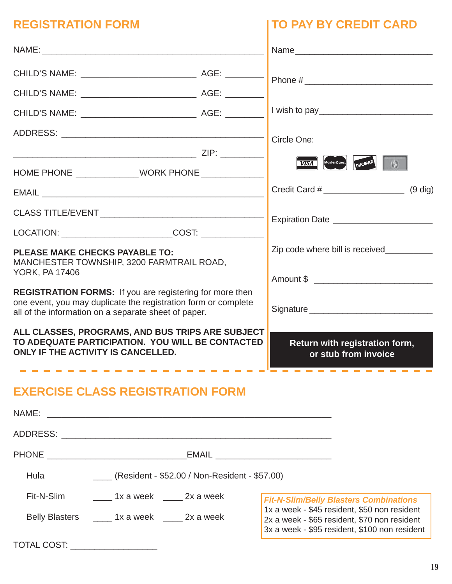| <b>REGISTRATION FORM</b> | <b>ITO PAY BY CREDIT CARD</b> |
|--------------------------|-------------------------------|
| NAME:                    | Name                          |
| CHILD'S NAME:<br>AGE:    | Phone #                       |

# **DIT CARD**

| ALL CLASSES, PROGRAMS, AND BUS TRIPS ARE SUBJECT<br>TO ADEQUATE PARTICIPATION. YOU WILL BE CONTACTED<br>ONLY IF THE ACTIVITY IS CANCELLED.                                         |                                 | Return with registration form,<br>or stub from invoice |
|------------------------------------------------------------------------------------------------------------------------------------------------------------------------------------|---------------------------------|--------------------------------------------------------|
| REGISTRATION FORMS: If you are registering for more then<br>one event, you may duplicate the registration form or complete<br>all of the information on a separate sheet of paper. |                                 |                                                        |
| <b>PLEASE MAKE CHECKS PAYABLE TO:</b><br>MANCHESTER TOWNSHIP, 3200 FARMTRAIL ROAD,<br><b>YORK, PA 17406</b>                                                                        | Zip code where bill is received |                                                        |
|                                                                                                                                                                                    |                                 |                                                        |
|                                                                                                                                                                                    |                                 |                                                        |
|                                                                                                                                                                                    |                                 | $(9$ dig)                                              |
|                                                                                                                                                                                    |                                 | VISA MasterCard. DUCOVER                               |
|                                                                                                                                                                                    |                                 | Circle One:                                            |
|                                                                                                                                                                                    |                                 |                                                        |
|                                                                                                                                                                                    |                                 |                                                        |
|                                                                                                                                                                                    |                                 |                                                        |
|                                                                                                                                                                                    |                                 |                                                        |

# **EXERCISE CLASS REGISTRATION FORM**

|                                |                                                     | EMAIL <b>EMAIL</b>                                                                                                                            |
|--------------------------------|-----------------------------------------------------|-----------------------------------------------------------------------------------------------------------------------------------------------|
| Hula                           | _____ (Resident - \$52.00 / Non-Resident - \$57.00) |                                                                                                                                               |
| Fit-N-Slim                     | 1x a week 2x a week                                 | <b>Fit-N-Slim/Belly Blasters Combinations</b>                                                                                                 |
|                                | Belly Blasters ________ 1x a week _______ 2x a week | 1x a week - \$45 resident, \$50 non resident<br>2x a week - \$65 resident, \$70 non resident<br>3x a week - \$95 resident, \$100 non resident |
| TOTAL COST: __________________ |                                                     |                                                                                                                                               |